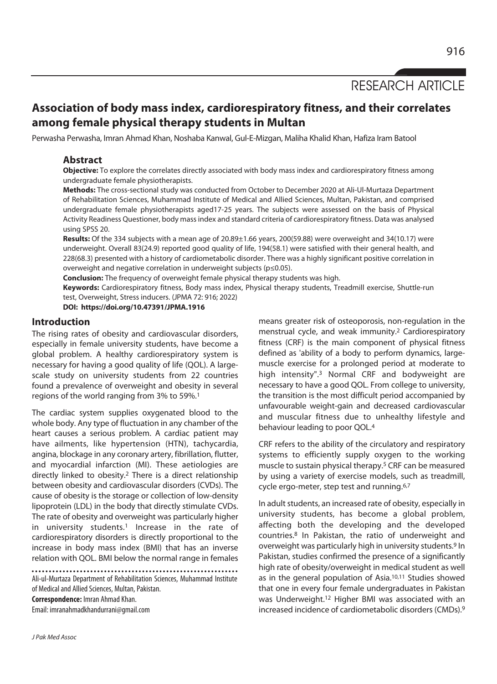RESEARCH ARTICLE

# **Association of body mass index, cardiorespiratory fitness, and their correlates among female physical therapy students in Multan**

Perwasha Perwasha, Imran Ahmad Khan, Noshaba Kanwal, Gul-E-Mizgan, Maliha Khalid Khan, Hafiza Iram Batool

## **Abstract**

**Objective:** To explore the correlates directly associated with body mass index and cardiorespiratory fitness among undergraduate female physiotherapists.

**Methods:** The cross-sectional study was conducted from October to December 2020 at Ali-Ul-Murtaza Department of Rehabilitation Sciences, Muhammad Institute of Medical and Allied Sciences, Multan, Pakistan, and comprised undergraduate female physiotherapists aged17-25 years. The subjects were assessed on the basis of Physical Activity Readiness Questioner, body mass index and standard criteria of cardiorespiratory fitness. Data was analysed using SPSS 20.

**Results:** Of the 334 subjects with a mean age of 20.89±1.66 years, 200(59.88) were overweight and 34(10.17) were underweight. Overall 83(24.9) reported good quality of life, 194(58.1) were satisfied with their general health, and 228(68.3) presented with a history of cardiometabolic disorder. There was a highly significant positive correlation in overweight and negative correlation in underweight subjects (p≤0.05).

**Conclusion:** The frequency of overweight female physical therapy students was high.

**Keywords:** Cardiorespiratory fitness, Body mass index, Physical therapy students, Treadmill exercise, Shuttle-run test, Overweight, Stress inducers. (JPMA 72: 916; 2022)

**DOI: https://doi.org/10.47391/JPMA.1916** 

## **Introduction**

The rising rates of obesity and cardiovascular disorders, especially in female university students, have become a global problem. A healthy cardiorespiratory system is necessary for having a good quality of life (QOL). A largescale study on university students from 22 countries found a prevalence of overweight and obesity in several regions of the world ranging from 3% to 59%.1

The cardiac system supplies oxygenated blood to the whole body. Any type of fluctuation in any chamber of the heart causes a serious problem. A cardiac patient may have ailments, like hypertension (HTN), tachycardia, angina, blockage in any coronary artery, fibrillation, flutter, and myocardial infarction (MI). These aetiologies are directly linked to obesity.2 There is a direct relationship between obesity and cardiovascular disorders (CVDs). The cause of obesity is the storage or collection of low-density lipoprotein (LDL) in the body that directly stimulate CVDs. The rate of obesity and overweight was particularly higher in university students.<sup>1</sup> Increase in the rate of cardiorespiratory disorders is directly proportional to the increase in body mass index (BMI) that has an inverse relation with QOL. BMI below the normal range in females

Ali-ul-Murtaza Department of Rehabilitation Sciences, Muhammad Institute of Medical and Allied Sciences, Multan, Pakistan. **Correspondence:** Imran Ahmad Khan. Email: imranahmadkhandurrani@gmail.com

muscle exercise for a prolonged period at moderate to high intensity".3 Normal CRF and bodyweight are necessary to have a good QOL. From college to university, the transition is the most difficult period accompanied by unfavourable weight-gain and decreased cardiovascular and muscular fitness due to unhealthy lifestyle and behaviour leading to poor QOL.4 CRF refers to the ability of the circulatory and respiratory

systems to efficiently supply oxygen to the working muscle to sustain physical therapy.5 CRF can be measured by using a variety of exercise models, such as treadmill, cycle ergo-meter, step test and running.<sup>6,7</sup>

means greater risk of osteoporosis, non-regulation in the menstrual cycle, and weak immunity.2 Cardiorespiratory fitness (CRF) is the main component of physical fitness defined as 'ability of a body to perform dynamics, large-

In adult students, an increased rate of obesity, especially in university students, has become a global problem, affecting both the developing and the developed countries.8 In Pakistan, the ratio of underweight and overweight was particularly high in university students.9 In Pakistan, studies confirmed the presence of a significantly high rate of obesity/overweight in medical student as well as in the general population of Asia.10,11 Studies showed that one in every four female undergraduates in Pakistan was Underweight.12 Higher BMI was associated with an increased incidence of cardiometabolic disorders (CMDs).9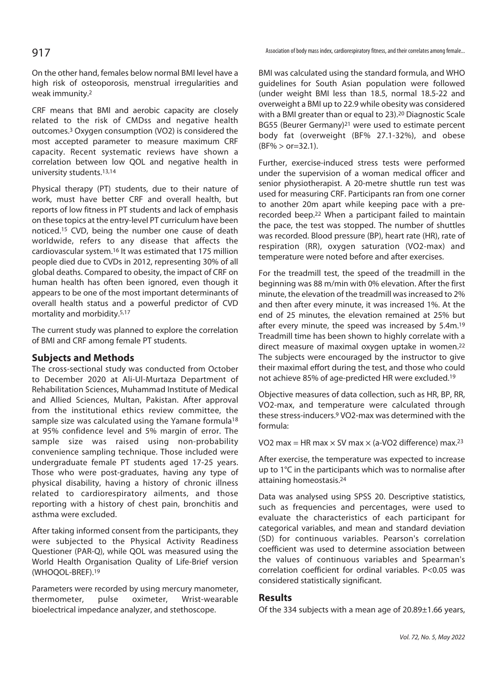On the other hand, females below normal BMI level have a high risk of osteoporosis, menstrual irregularities and weak immunity.2

CRF means that BMI and aerobic capacity are closely related to the risk of CMDss and negative health outcomes.3 Oxygen consumption (VO2) is considered the most accepted parameter to measure maximum CRF capacity. Recent systematic reviews have shown a correlation between low QOL and negative health in university students.13,14

Physical therapy (PT) students, due to their nature of work, must have better CRF and overall health, but reports of low fitness in PT students and lack of emphasis on these topics at the entry-level PT curriculum have been noticed.15 CVD, being the number one cause of death worldwide, refers to any disease that affects the cardiovascular system.16 It was estimated that 175 million people died due to CVDs in 2012, representing 30% of all global deaths. Compared to obesity, the impact of CRF on human health has often been ignored, even though it appears to be one of the most important determinants of overall health status and a powerful predictor of CVD mortality and morbidity.5,17

The current study was planned to explore the correlation of BMI and CRF among female PT students.

## **Subjects and Methods**

The cross-sectional study was conducted from October to December 2020 at Ali-Ul-Murtaza Department of Rehabilitation Sciences, Muhammad Institute of Medical and Allied Sciences, Multan, Pakistan. After approval from the institutional ethics review committee, the sample size was calculated using the Yamane formula<sup>18</sup> at 95% confidence level and 5% margin of error. The sample size was raised using non-probability convenience sampling technique. Those included were undergraduate female PT students aged 17-25 years. Those who were post-graduates, having any type of physical disability, having a history of chronic illness related to cardiorespiratory ailments, and those reporting with a history of chest pain, bronchitis and asthma were excluded.

After taking informed consent from the participants, they were subjected to the Physical Activity Readiness Questioner (PAR-Q), while QOL was measured using the World Health Organisation Quality of Life-Brief version (WHOQOL-BREF).19

Parameters were recorded by using mercury manometer, thermometer, pulse oximeter, Wrist-wearable bioelectrical impedance analyzer, and stethoscope.

Association of body mass index, cardiorespiratory fitness, and their correlates among female...

BMI was calculated using the standard formula, and WHO guidelines for South Asian population were followed (under weight BMI less than 18.5, normal 18.5-22 and overweight a BMI up to 22.9 while obesity was considered with a BMI greater than or equal to 23).20 Diagnostic Scale BG55 (Beurer Germany)21 were used to estimate percent body fat (overweight (BF% 27.1-32%), and obese  $(BF% > or = 32.1)$ .

Further, exercise-induced stress tests were performed under the supervision of a woman medical officer and senior physiotherapist. A 20-metre shuttle run test was used for measuring CRF. Participants ran from one corner to another 20m apart while keeping pace with a prerecorded beep.22 When a participant failed to maintain the pace, the test was stopped. The number of shuttles was recorded. Blood pressure (BP), heart rate (HR), rate of respiration (RR), oxygen saturation (VO2-max) and temperature were noted before and after exercises.

For the treadmill test, the speed of the treadmill in the beginning was 88 m/min with 0% elevation. After the first minute, the elevation of the treadmill was increased to 2% and then after every minute, it was increased 1%. At the end of 25 minutes, the elevation remained at 25% but after every minute, the speed was increased by 5.4m.<sup>19</sup> Treadmill time has been shown to highly correlate with a direct measure of maximal oxygen uptake in women.22 The subjects were encouraged by the instructor to give their maximal effort during the test, and those who could not achieve 85% of age-predicted HR were excluded.19

Objective measures of data collection, such as HR, BP, RR, VO2-max, and temperature were calculated through these stress-inducers.9 VO2-max was determined with the formula:

VO2 max = HR max  $\times$  SV max  $\times$  (a-VO2 difference) max.<sup>23</sup>

After exercise, the temperature was expected to increase up to 1°C in the participants which was to normalise after attaining homeostasis.24

Data was analysed using SPSS 20. Descriptive statistics, such as frequencies and percentages, were used to evaluate the characteristics of each participant for categorical variables, and mean and standard deviation (SD) for continuous variables. Pearson's correlation coefficient was used to determine association between the values of continuous variables and Spearman's correlation coefficient for ordinal variables. P<0.05 was considered statistically significant.

## **Results**

Of the 334 subjects with a mean age of 20.89±1.66 years,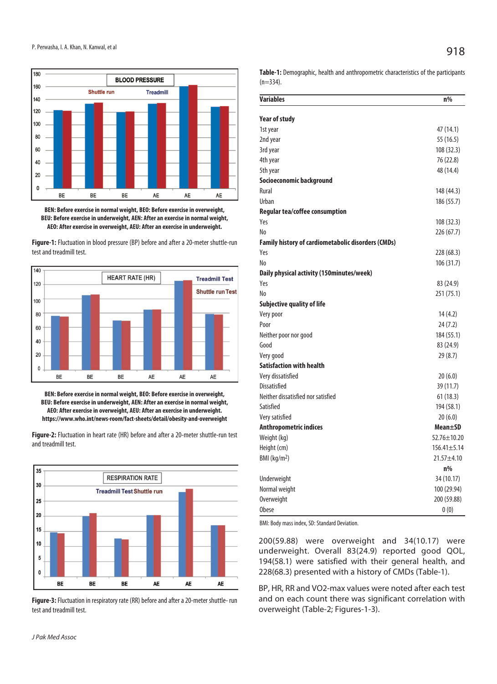

**BEN: Before exercise in normal weight, BEO: Before exercise in overweight, BEU: Before exercise in underweight, AEN: After an exercise in normal weight, AEO: After exercise in overweight, AEU: After an exercise in underweight.** 

**Figure-1:** Fluctuation in blood pressure (BP) before and after a 20-meter shuttle-run test and treadmill test.



**BEN: Before exercise in normal weight, BEO: Before exercise in overweight, BEU: Before exercise in underweight, AEN: After an exercise in normal weight, AEO: After exercise in overweight, AEU: After an exercise in underweight. https://www.who.int/news-room/fact-sheets/detail/obesity-and-overweight** 

**Figure-2:** Fluctuation in heart rate (HR) before and after a 20-meter shuttle-run test and treadmill test.



**Figure-3:** Fluctuation in respiratory rate (RR) before and after a 20-meter shuttle- run test and treadmill test.

**Table-1:** Demographic, health and anthropometric characteristics of the participants  $(n=334)$ .

| <b>Variables</b>                                   | n%                |
|----------------------------------------------------|-------------------|
|                                                    |                   |
| <b>Year of study</b>                               |                   |
| 1st year                                           | 47 (14.1)         |
| 2nd year                                           | 55 (16.5)         |
| 3rd year                                           | 108 (32.3)        |
| 4th year                                           | 76 (22.8)         |
| 5th year                                           | 48 (14.4)         |
| Socioeconomic background                           |                   |
| Rural                                              | 148 (44.3)        |
| Urban                                              | 186 (55.7)        |
| Regular tea/coffee consumption                     |                   |
| Yes                                                | 108 (32.3)        |
| No                                                 | 226 (67.7)        |
| Family history of cardiometabolic disorders (CMDs) |                   |
| Yes                                                | 228 (68.3)        |
| No                                                 | 106 (31.7)        |
| Daily physical activity (150minutes/week)          |                   |
| Yes                                                | 83 (24.9)         |
| No                                                 | 251 (75.1)        |
| Subjective quality of life                         |                   |
| Very poor                                          | 14 (4.2)          |
| Poor                                               | 24 (7.2)          |
| Neither poor nor good                              | 184 (55.1)        |
| Good                                               | 83 (24.9)         |
| Very good                                          | 29 (8.7)          |
| <b>Satisfaction with health</b>                    |                   |
| Very dissatisfied                                  | 20(6.0)           |
| <b>Dissatisfied</b>                                | 39 (11.7)         |
| Neither dissatisfied nor satisfied                 | 61 (18.3)         |
| Satisfied                                          | 194 (58.1)        |
| Very satisfied                                     | 20(6.0)           |
| Anthropometric indices                             | Mean±SD           |
| Weight (kg)                                        | 52.76±10.20       |
| Height (cm)                                        | $156.41 \pm 5.14$ |
| BMI (kg/m <sup>2</sup> )                           | $21.57 + 4.10$    |
|                                                    | n%                |
| Underweight                                        | 34 (10.17)        |
| Normal weight                                      | 100 (29.94)       |
| Overweight                                         | 200 (59.88)       |
| <b>Obese</b>                                       | 0(0)              |

BMI: Body mass index, SD: Standard Deviation.

200(59.88) were overweight and 34(10.17) were underweight. Overall 83(24.9) reported good QOL, 194(58.1) were satisfied with their general health, and 228(68.3) presented with a history of CMDs (Table-1).

BP, HR, RR and VO2-max values were noted after each test and on each count there was significant correlation with overweight (Table-2; Figures-1-3).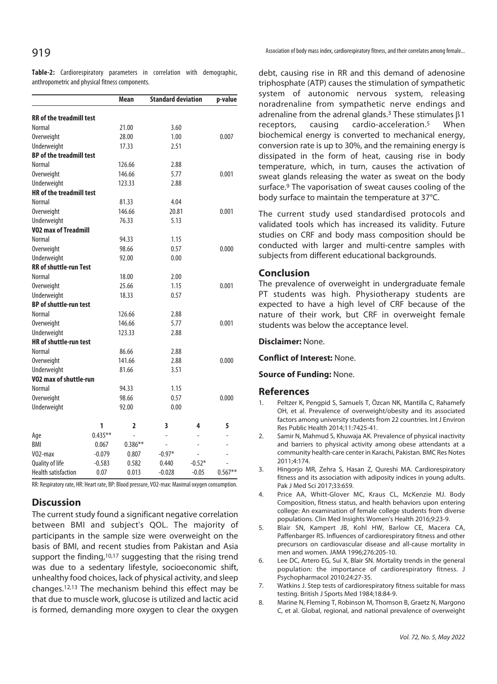**Table-2:** Cardiorespiratory parameters in correlation with demographic, anthropometric and physical fitness components.

|                                 |           | Mean      | <b>Standard deviation</b> |          | p-value   |
|---------------------------------|-----------|-----------|---------------------------|----------|-----------|
| <b>RR</b> of the treadmill test |           |           |                           |          |           |
| Normal                          |           | 21.00     | 3.60                      |          |           |
| Overweight                      |           | 28.00     | 1.00                      |          | 0.007     |
| Underweight                     |           | 17.33     | 2.51                      |          |           |
| <b>BP</b> of the treadmill test |           |           |                           |          |           |
| Normal                          |           | 126.66    | 2.88                      |          |           |
| Overweight                      |           | 146.66    | 5.77                      |          | 0.001     |
| Underweight                     |           | 123.33    | 2.88                      |          |           |
| <b>HR</b> of the treadmill test |           |           |                           |          |           |
| <b>Normal</b>                   |           | 81.33     | 4.04                      |          |           |
| Overweight                      |           | 146.66    | 20.81                     |          | 0.001     |
| Underweight                     |           | 76.33     | 5.13                      |          |           |
| <b>VO2 max of Treadmill</b>     |           |           |                           |          |           |
| Normal                          |           | 94.33     | 1.15                      |          |           |
| Overweight                      |           | 98.66     | 0.57                      |          | 0.000     |
| Underweight                     |           | 92.00     | 0.00                      |          |           |
| <b>RR</b> of shuttle-run Test   |           |           |                           |          |           |
| Normal                          |           | 18.00     | 2.00                      |          |           |
| Overweight                      |           | 25.66     | 1.15                      |          | 0.001     |
| Underweight                     |           | 18.33     | 0.57                      |          |           |
| <b>BP</b> of shuttle-run test   |           |           |                           |          |           |
| Normal                          |           | 126.66    | 2.88                      |          |           |
| Overweight                      |           | 146.66    | 5.77                      |          | 0.001     |
| Underweight                     |           | 123.33    | 2.88                      |          |           |
| <b>HR</b> of shuttle-run test   |           |           |                           |          |           |
| Normal                          |           | 86.66     | 2.88                      |          |           |
| Overweight                      |           | 141.66    | 2.88                      |          | 0.000     |
| Underweight                     |           | 81.66     | 3.51                      |          |           |
| VO2 max of shuttle-run          |           |           |                           |          |           |
| Normal                          |           | 94.33     | 1.15                      |          |           |
| Overweight                      |           | 98.66     | 0.57                      |          | 0.000     |
| Underweight                     |           | 92.00     | 0.00                      |          |           |
|                                 | 1         | 2         | 3                         | 4        | 5         |
| Age                             | $0.435**$ |           | $\overline{\phantom{0}}$  |          |           |
| <b>BMI</b>                      | 0.067     | $0.386**$ | ÷,                        | L        |           |
| V <sub>02</sub> -max            | $-0.079$  | 0.807     | $-0.97*$                  | L,       |           |
| Quality of life                 | $-0.583$  | 0.582     | 0.440                     | $-0.52*$ |           |
| <b>Health satisfaction</b>      | 0.07      | 0.013     | $-0.028$                  | $-0.05$  | $0.567**$ |

RR: Respiratory rate, HR: Heart rate, BP: Blood pressure, VO2-max: Maximal oxygen consumption.

## **Discussion**

The current study found a significant negative correlation between BMI and subject's QOL. The majority of participants in the sample size were overweight on the basis of BMI, and recent studies from Pakistan and Asia support the finding,<sup>10,17</sup> suggesting that the rising trend was due to a sedentary lifestyle, socioeconomic shift, unhealthy food choices, lack of physical activity, and sleep changes.12,13 The mechanism behind this effect may be that due to muscle work, glucose is utilized and lactic acid is formed, demanding more oxygen to clear the oxygen

debt, causing rise in RR and this demand of adenosine triphosphate (ATP) causes the stimulation of sympathetic system of autonomic nervous system, releasing noradrenaline from sympathetic nerve endings and adrenaline from the adrenal glands.<sup>3</sup> These stimulates  $\beta$ 1 receptors, causing cardio-acceleration.5 When biochemical energy is converted to mechanical energy, conversion rate is up to 30%, and the remaining energy is dissipated in the form of heat, causing rise in body temperature, which, in turn, causes the activation of sweat glands releasing the water as sweat on the body surface.9 The vaporisation of sweat causes cooling of the body surface to maintain the temperature at 37°C.

The current study used standardised protocols and validated tools which has increased its validity. Future studies on CRF and body mass composition should be conducted with larger and multi-centre samples with subjects from different educational backgrounds.

## **Conclusion**

The prevalence of overweight in undergraduate female PT students was high. Physiotherapy students are expected to have a high level of CRF because of the nature of their work, but CRF in overweight female students was below the acceptance level.

**Disclaimer:** None.

#### **Conflict of Interest:** None.

#### **Source of Funding:** None.

#### **References**

- 1. Peltzer K, Pengpid S, Samuels T, Özcan NK, Mantilla C, Rahamefy OH, et al. Prevalence of overweight/obesity and its associated factors among university students from 22 countries. Int J Environ Res Public Health 2014;11:7425-41.
- 2. Samir N, Mahmud S, Khuwaja AK. Prevalence of physical inactivity and barriers to physical activity among obese attendants at a community health-care center in Karachi, Pakistan. BMC Res Notes 2011;4:174.
- 3. Hingorjo MR, Zehra S, Hasan Z, Qureshi MA. Cardiorespiratory fitness and its association with adiposity indices in young adults. Pak J Med Sci 2017;33:659.
- 4. Price AA, Whitt-Glover MC, Kraus CL, McKenzie MJ. Body Composition, fitness status, and health behaviors upon entering college: An examination of female college students from diverse populations. Clin Med Insights Women's Health 2016;9:23-9.
- 5. Blair SN, Kampert JB, Kohl HW, Barlow CE, Macera CA, Paffenbarger RS. Influences of cardiorespiratory fitness and other precursors on cardiovascular disease and all-cause mortality in men and women. JAMA 1996;276:205-10.
- 6. Lee DC, Artero EG, Sui X, Blair SN. Mortality trends in the general population: the importance of cardiorespiratory fitness. J Psychopharmacol 2010;24:27-35.
- 7. Watkins J. Step tests of cardiorespiratory fitness suitable for mass testing. British J Sports Med 1984;18:84-9.
- 8. Marine N, Fleming T, Robinson M, Thomson B, Graetz N, Margono C, et al. Global, regional, and national prevalence of overweight